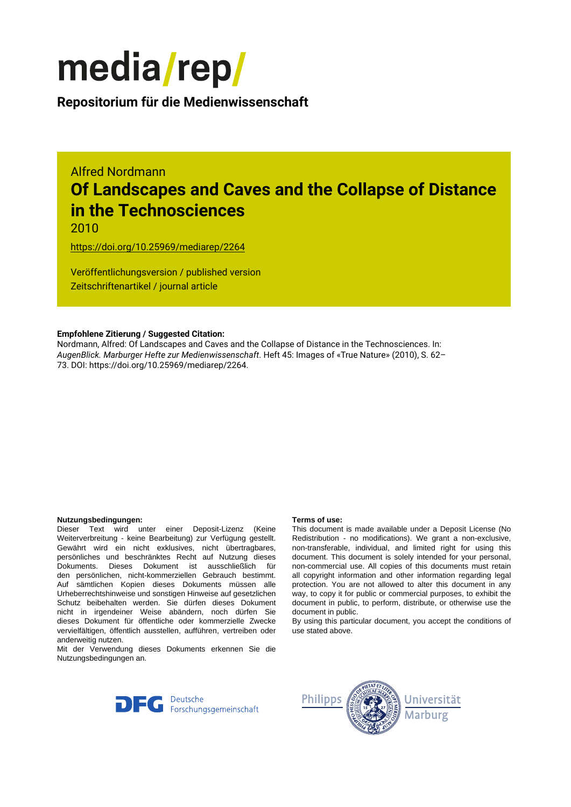

**Repositorium für die [Medienwissenschaft](https://mediarep.org)**

# Alfred Nordmann **Of Landscapes and Caves and the Collapse of Distance in the Technosciences**

2010

<https://doi.org/10.25969/mediarep/2264>

Veröffentlichungsversion / published version Zeitschriftenartikel / journal article

## **Empfohlene Zitierung / Suggested Citation:**

Nordmann, Alfred: Of Landscapes and Caves and the Collapse of Distance in the Technosciences. In: *AugenBlick. Marburger Hefte zur Medienwissenschaft*. Heft 45: Images of «True Nature» (2010), S. 62– 73. DOI: https://doi.org/10.25969/mediarep/2264.

### **Nutzungsbedingungen: Terms of use:**

Dieser Text wird unter einer Deposit-Lizenz (Keine Weiterverbreitung - keine Bearbeitung) zur Verfügung gestellt. Gewährt wird ein nicht exklusives, nicht übertragbares, persönliches und beschränktes Recht auf Nutzung dieses Dokuments. Dieses Dokument ist ausschließlich für den persönlichen, nicht-kommerziellen Gebrauch bestimmt. Auf sämtlichen Kopien dieses Dokuments müssen alle Urheberrechtshinweise und sonstigen Hinweise auf gesetzlichen Schutz beibehalten werden. Sie dürfen dieses Dokument nicht in irgendeiner Weise abändern, noch dürfen Sie dieses Dokument für öffentliche oder kommerzielle Zwecke vervielfältigen, öffentlich ausstellen, aufführen, vertreiben oder anderweitig nutzen.

Mit der Verwendung dieses Dokuments erkennen Sie die Nutzungsbedingungen an.

This document is made available under a Deposit License (No Redistribution - no modifications). We grant a non-exclusive, non-transferable, individual, and limited right for using this document. This document is solely intended for your personal, non-commercial use. All copies of this documents must retain all copyright information and other information regarding legal protection. You are not allowed to alter this document in any way, to copy it for public or commercial purposes, to exhibit the document in public, to perform, distribute, or otherwise use the document in public.

By using this particular document, you accept the conditions of use stated above.



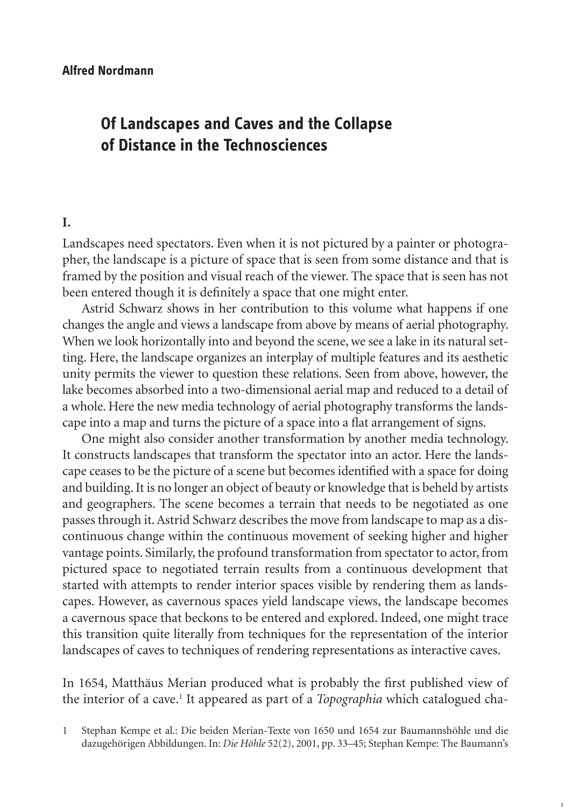## **Of Landscapes and Caves and the Collapse of Distance in the Technosciences**

## **I.**

Landscapes need spectators. Even when it is not pictured by a painter or photographer, the landscape is a picture of space that is seen from some distance and that is framed by the position and visual reach of the viewer. The space that is seen has not been entered though it is definitely a space that one might enter.

Astrid Schwarz shows in her contribution to this volume what happens if one changes the angle and views a landscape from above by means of aerial photography. When we look horizontally into and beyond the scene, we see a lake in its natural setting. Here, the landscape organizes an interplay of multiple features and its aesthetic unity permits the viewer to question these relations. Seen from above, however, the lake becomes absorbed into a two-dimensional aerial map and reduced to a detail of a whole. Here the new media technology of aerial photography transforms the landscape into a map and turns the picture of a space into a flat arrangement of signs.

One might also consider another transformation by another media technology. It constructs landscapes that transform the spectator into an actor. Here the landscape ceases to be the picture of a scene but becomes identified with a space for doing and building. It is no longer an object of beauty or knowledge that is beheld by artists and geographers. The scene becomes a terrain that needs to be negotiated as one passes through it. Astrid Schwarz describes the move from landscape to map as a discontinuous change within the continuous movement of seeking higher and higher vantage points. Similarly, the profound transformation from spectator to actor, from pictured space to negotiated terrain results from a continuous development that started with attempts to render interior spaces visible by rendering them as landscapes. However, as cavernous spaces yield landscape views, the landscape becomes a cavernous space that beckons to be entered and explored. Indeed, one might trace this transition quite literally from techniques for the representation of the interior landscapes of caves to techniques of rendering representations as interactive caves.

In 1654, Matthäus Merian produced what is probably the first published view of the interior of a cave.<sup>1</sup> It appeared as part of a *Topographia* which catalogued cha-

1 Stephan Kempe et al.: Die beiden Merian-Texte von 1650 und 1654 zur Baumannshöhle und die dazugehörigen Abbildungen. In: *Die Höhle* 52(2), 2001, pp. 33–45; Stephan Kempe: The Baumann's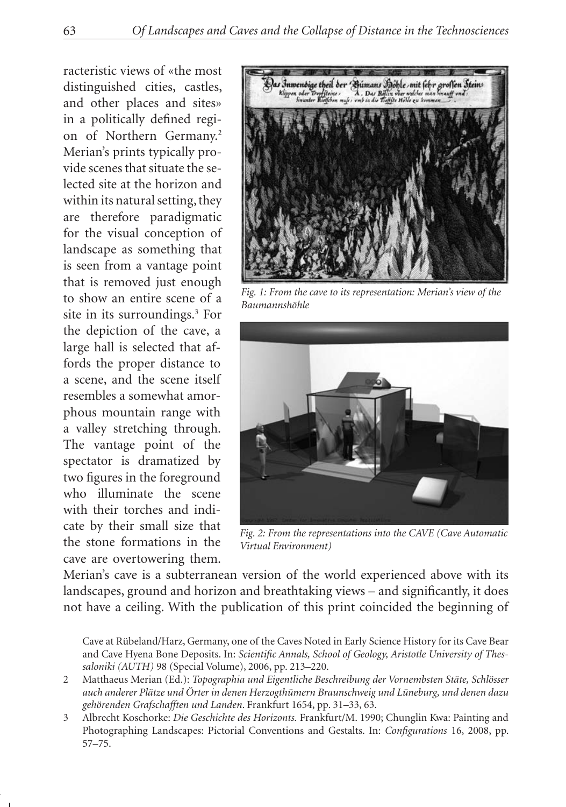racteristic views of «the most distinguished cities, castles, and other places and sites» in a politically defined region of Northern Germany.<sup>2</sup> Merian's prints typically provide scenes that situate the selected site at the horizon and within its natural setting, they are therefore paradigmatic for the visual conception of landscape as something that is seen from a vantage point that is removed just enough to show an entire scene of a site in its surroundings.3 For the depiction of the cave, a large hall is selected that affords the proper distance to a scene, and the scene itself resembles a somewhat amorphous mountain range with a valley stretching through. The vantage point of the spectator is dramatized by two figures in the foreground who illuminate the scene with their torches and indicate by their small size that the stone formations in the cave are overtowering them.



*Fig. 1: From the cave to its representation: Merian's view of the Baumannshöhle*



*Fig. 2: From the representations into the CAVE (Cave Automatic Virtual Environment)*

Merian's cave is a subterranean version of the world experienced above with its landscapes, ground and horizon and breathtaking views – and significantly, it does not have a ceiling. With the publication of this print coincided the beginning of

Cave at Rübeland/Harz, Germany, one of the Caves Noted in Early Science History for its Cave Bear and Cave Hyena Bone Deposits. In: *Scientific Annals, School of Geology, Aristotle University of Thessaloniki (AUTH)* 98 (Special Volume), 2006, pp. 213–220.

<sup>2</sup> Matthaeus Merian (Ed.): *Topographia und Eigentliche Beschreibung der Vornembsten Stäte, Schlösser auch anderer Plätze und Örter in denen Herzogthümern Braunschweig und Lüneburg, und denen dazu gehörenden Grafschafften und Landen*. Frankfurt 1654, pp. 31–33, 63.

<sup>3</sup> Albrecht Koschorke: *Die Geschichte des Horizonts.* Frankfurt/M. 1990; Chunglin Kwa: Painting and Photographing Landscapes: Pictorial Conventions and Gestalts. In: *Configurations* 16, 2008, pp. 57–75.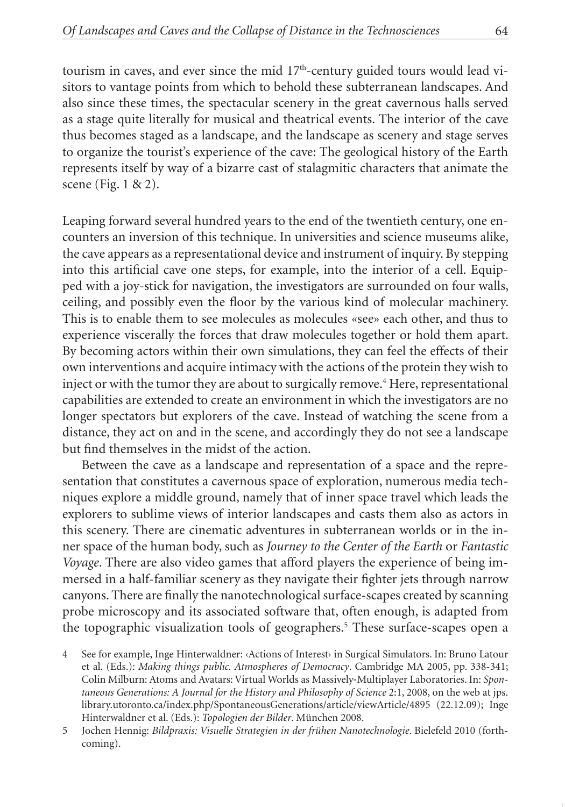tourism in caves, and ever since the mid 17<sup>th</sup>-century guided tours would lead visitors to vantage points from which to behold these subterranean landscapes. And also since these times, the spectacular scenery in the great cavernous halls served as a stage quite literally for musical and theatrical events. The interior of the cave thus becomes staged as a landscape, and the landscape as scenery and stage serves to organize the tourist's experience of the cave: The geological history of the Earth represents itself by way of a bizarre cast of stalagmitic characters that animate the scene (Fig. 1 & 2).

Leaping forward several hundred years to the end of the twentieth century, one encounters an inversion of this technique. In universities and science museums alike, the cave appears as a representational device and instrument of inquiry. By stepping into this artificial cave one steps, for example, into the interior of a cell. Equipped with a joy-stick for navigation, the investigators are surrounded on four walls, ceiling, and possibly even the floor by the various kind of molecular machinery. This is to enable them to see molecules as molecules «see» each other, and thus to experience viscerally the forces that draw molecules together or hold them apart. By becoming actors within their own simulations, they can feel the effects of their own interventions and acquire intimacy with the actions of the protein they wish to inject or with the tumor they are about to surgically remove.<sup>4</sup> Here, representational capabilities are extended to create an environment in which the investigators are no longer spectators but explorers of the cave. Instead of watching the scene from a distance, they act on and in the scene, and accordingly they do not see a landscape but find themselves in the midst of the action.

Between the cave as a landscape and representation of a space and the representation that constitutes a cavernous space of exploration, numerous media techniques explore a middle ground, namely that of inner space travel which leads the explorers to sublime views of interior landscapes and casts them also as actors in this scenery. There are cinematic adventures in subterranean worlds or in the inner space of the human body, such as *Journey to the Center of the Earth* or *Fantastic Voyage*. There are also video games that afford players the experience of being immersed in a half-familiar scenery as they navigate their fighter jets through narrow canyons. There are finally the nanotechnological surface-scapes created by scanning probe microscopy and its associated software that, often enough, is adapted from the topographic visualization tools of geographers.<sup>5</sup> These surface-scapes open a

<sup>4</sup> See for example, Inge Hinterwaldner: ‹Actions of Interest› in Surgical Simulators. In: Bruno Latour et al. (Eds.): *Making things public. Atmospheres of Democracy*. Cambridge MA 2005, pp. 338-341; Colin Milburn: Atoms and Avatars: Virtual Worlds as Massively‐Multiplayer Laboratories. In: *Spontaneous Generations: A Journal for the History and Philosophy of Science* 2:1, 2008, on the web at jps. library.utoronto.ca/index.php/SpontaneousGenerations/article/viewArticle/4895 (22.12.09); Inge Hinterwaldner et al. (Eds.): *Topologien der Bilder*. München 2008.

<sup>5</sup> Jochen Hennig: *Bildpraxis: Visuelle Strategien in der frühen Nanotechnologie*. Bielefeld 2010 (forthcoming).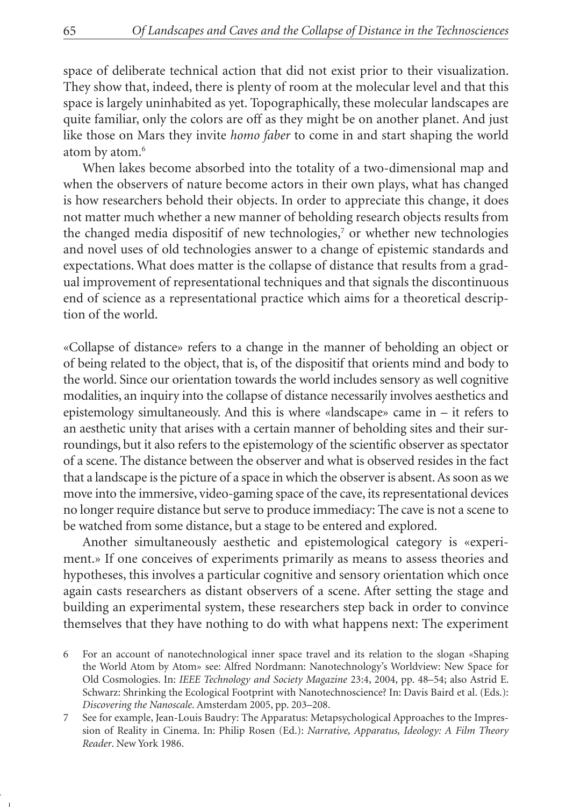space of deliberate technical action that did not exist prior to their visualization. They show that, indeed, there is plenty of room at the molecular level and that this space is largely uninhabited as yet. Topographically, these molecular landscapes are quite familiar, only the colors are off as they might be on another planet. And just like those on Mars they invite *homo faber* to come in and start shaping the world atom by atom.6

When lakes become absorbed into the totality of a two-dimensional map and when the observers of nature become actors in their own plays, what has changed is how researchers behold their objects. In order to appreciate this change, it does not matter much whether a new manner of beholding research objects results from the changed media dispositif of new technologies,<sup>7</sup> or whether new technologies and novel uses of old technologies answer to a change of epistemic standards and expectations. What does matter is the collapse of distance that results from a gradual improvement of representational techniques and that signals the discontinuous end of science as a representational practice which aims for a theoretical description of the world.

«Collapse of distance» refers to a change in the manner of beholding an object or of being related to the object, that is, of the dispositif that orients mind and body to the world. Since our orientation towards the world includes sensory as well cognitive modalities, an inquiry into the collapse of distance necessarily involves aesthetics and epistemology simultaneously. And this is where «landscape» came in – it refers to an aesthetic unity that arises with a certain manner of beholding sites and their surroundings, but it also refers to the epistemology of the scientific observer as spectator of a scene. The distance between the observer and what is observed resides in the fact that a landscape is the picture of a space in which the observer is absent. As soon as we move into the immersive, video-gaming space of the cave, its representational devices no longer require distance but serve to produce immediacy: The cave is not a scene to be watched from some distance, but a stage to be entered and explored.

Another simultaneously aesthetic and epistemological category is «experiment.» If one conceives of experiments primarily as means to assess theories and hypotheses, this involves a particular cognitive and sensory orientation which once again casts researchers as distant observers of a scene. After setting the stage and building an experimental system, these researchers step back in order to convince themselves that they have nothing to do with what happens next: The experiment

<sup>6</sup> For an account of nanotechnological inner space travel and its relation to the slogan «Shaping the World Atom by Atom» see: Alfred Nordmann: Nanotechnology's Worldview: New Space for Old Cosmologies. In: *IEEE Technology and Society Magazine* 23:4, 2004, pp. 48–54; also Astrid E. Schwarz: Shrinking the Ecological Footprint with Nanotechnoscience? In: Davis Baird et al. (Eds.): *Discovering the Nanoscale*. Amsterdam 2005, pp. 203–208.

<sup>7</sup> See for example, Jean-Louis Baudry: The Apparatus: Metapsychological Approaches to the Impression of Reality in Cinema. In: Philip Rosen (Ed.): *Narrative, Apparatus, Ideology: A Film Theory Reader*. New York 1986.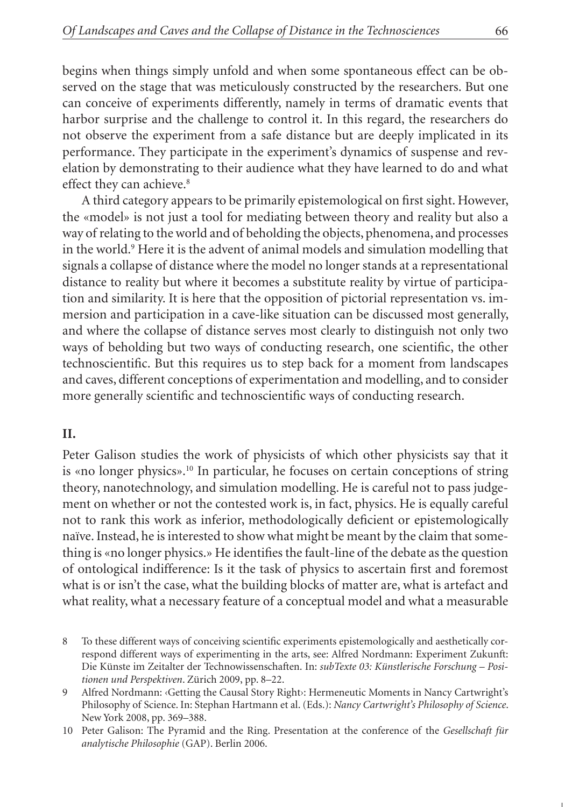begins when things simply unfold and when some spontaneous effect can be observed on the stage that was meticulously constructed by the researchers. But one can conceive of experiments differently, namely in terms of dramatic events that harbor surprise and the challenge to control it. In this regard, the researchers do not observe the experiment from a safe distance but are deeply implicated in its performance. They participate in the experiment's dynamics of suspense and revelation by demonstrating to their audience what they have learned to do and what effect they can achieve.<sup>8</sup>

A third category appears to be primarily epistemological on first sight. However, the «model» is not just a tool for mediating between theory and reality but also a way of relating to the world and of beholding the objects, phenomena, and processes in the world.9 Here it is the advent of animal models and simulation modelling that signals a collapse of distance where the model no longer stands at a representational distance to reality but where it becomes a substitute reality by virtue of participation and similarity. It is here that the opposition of pictorial representation vs. immersion and participation in a cave-like situation can be discussed most generally, and where the collapse of distance serves most clearly to distinguish not only two ways of beholding but two ways of conducting research, one scientific, the other technoscientific. But this requires us to step back for a moment from landscapes and caves, different conceptions of experimentation and modelling, and to consider more generally scientific and technoscientific ways of conducting research.

## **II.**

Peter Galison studies the work of physicists of which other physicists say that it is «no longer physics».10 In particular, he focuses on certain conceptions of string theory, nanotechnology, and simulation modelling. He is careful not to pass judgement on whether or not the contested work is, in fact, physics. He is equally careful not to rank this work as inferior, methodologically deficient or epistemologically naïve. Instead, he is interested to show what might be meant by the claim that something is «no longer physics.» He identifies the fault-line of the debate as the question of ontological indifference: Is it the task of physics to ascertain first and foremost what is or isn't the case, what the building blocks of matter are, what is artefact and what reality, what a necessary feature of a conceptual model and what a measurable

- 8 To these different ways of conceiving scientific experiments epistemologically and aesthetically correspond different ways of experimenting in the arts, see: Alfred Nordmann: Experiment Zukunft: Die Künste im Zeitalter der Technowissenschaften. In: *subTexte 03: Künstlerische Forschung – Positionen und Perspektiven*. Zürich 2009, pp. 8–22.
- 9 Alfred Nordmann: ‹Getting the Causal Story Right›: Hermeneutic Moments in Nancy Cartwright's Philosophy of Science. In: Stephan Hartmann et al. (Eds.): *Nancy Cartwright's Philosophy of Science*. New York 2008, pp. 369–388.
- 10 Peter Galison: The Pyramid and the Ring. Presentation at the conference of the *Gesellschaft für analytische Philosophie* (GAP). Berlin 2006.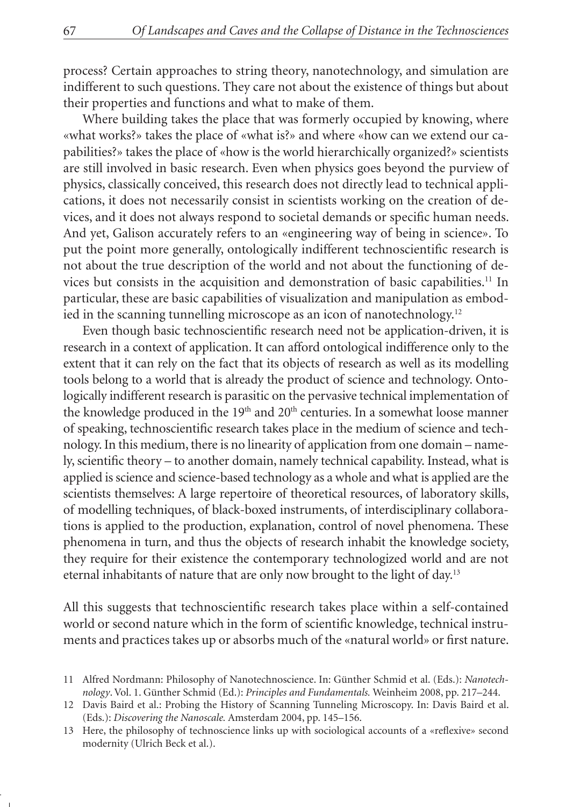process? Certain approaches to string theory, nanotechnology, and simulation are indifferent to such questions. They care not about the existence of things but about their properties and functions and what to make of them.

Where building takes the place that was formerly occupied by knowing, where «what works?» takes the place of «what is?» and where «how can we extend our capabilities?» takes the place of «how is the world hierarchically organized?» scientists are still involved in basic research. Even when physics goes beyond the purview of physics, classically conceived, this research does not directly lead to technical applications, it does not necessarily consist in scientists working on the creation of devices, and it does not always respond to societal demands or specific human needs. And yet, Galison accurately refers to an «engineering way of being in science». To put the point more generally, ontologically indifferent technoscientific research is not about the true description of the world and not about the functioning of devices but consists in the acquisition and demonstration of basic capabilities.11 In particular, these are basic capabilities of visualization and manipulation as embodied in the scanning tunnelling microscope as an icon of nanotechnology.12

Even though basic technoscientific research need not be application-driven, it is research in a context of application. It can afford ontological indifference only to the extent that it can rely on the fact that its objects of research as well as its modelling tools belong to a world that is already the product of science and technology. Ontologically indifferent research is parasitic on the pervasive technical implementation of the knowledge produced in the 19<sup>th</sup> and 20<sup>th</sup> centuries. In a somewhat loose manner of speaking, technoscientific research takes place in the medium of science and technology. In this medium, there is no linearity of application from one domain – namely, scientific theory – to another domain, namely technical capability. Instead, what is applied is science and science-based technology as a whole and what is applied are the scientists themselves: A large repertoire of theoretical resources, of laboratory skills, of modelling techniques, of black-boxed instruments, of interdisciplinary collaborations is applied to the production, explanation, control of novel phenomena. These phenomena in turn, and thus the objects of research inhabit the knowledge society, they require for their existence the contemporary technologized world and are not eternal inhabitants of nature that are only now brought to the light of day.13

All this suggests that technoscientific research takes place within a self-contained world or second nature which in the form of scientific knowledge, technical instruments and practices takes up or absorbs much of the «natural world» or first nature.

<sup>11</sup> Alfred Nordmann: Philosophy of Nanotechnoscience. In: Günther Schmid et al. (Eds.): *Nanotechnology*. Vol. 1. Günther Schmid (Ed.): *Principles and Fundamentals.* Weinheim 2008, pp. 217–244.

<sup>12</sup> Davis Baird et al.: Probing the History of Scanning Tunneling Microscopy. In: Davis Baird et al. (Eds.): *Discovering the Nanoscale.* Amsterdam 2004, pp. 145–156.

<sup>13</sup> Here, the philosophy of technoscience links up with sociological accounts of a «reflexive» second modernity (Ulrich Beck et al.).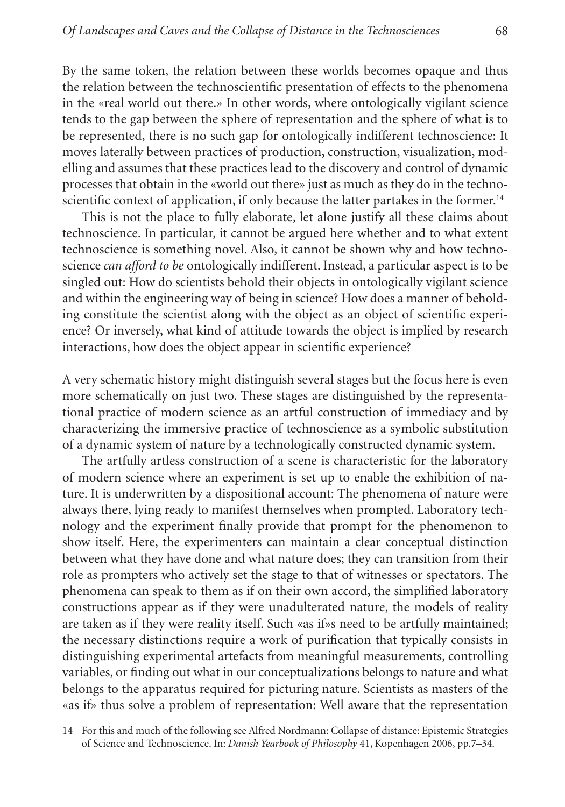By the same token, the relation between these worlds becomes opaque and thus the relation between the technoscientific presentation of effects to the phenomena in the «real world out there.» In other words, where ontologically vigilant science tends to the gap between the sphere of representation and the sphere of what is to be represented, there is no such gap for ontologically indifferent technoscience: It moves laterally between practices of production, construction, visualization, modelling and assumes that these practices lead to the discovery and control of dynamic processes that obtain in the «world out there» just as much as they do in the technoscientific context of application, if only because the latter partakes in the former.<sup>14</sup>

This is not the place to fully elaborate, let alone justify all these claims about technoscience. In particular, it cannot be argued here whether and to what extent technoscience is something novel. Also, it cannot be shown why and how technoscience *can afford to be* ontologically indifferent. Instead, a particular aspect is to be singled out: How do scientists behold their objects in ontologically vigilant science and within the engineering way of being in science? How does a manner of beholding constitute the scientist along with the object as an object of scientific experience? Or inversely, what kind of attitude towards the object is implied by research interactions, how does the object appear in scientific experience?

A very schematic history might distinguish several stages but the focus here is even more schematically on just two. These stages are distinguished by the representational practice of modern science as an artful construction of immediacy and by characterizing the immersive practice of technoscience as a symbolic substitution of a dynamic system of nature by a technologically constructed dynamic system.

The artfully artless construction of a scene is characteristic for the laboratory of modern science where an experiment is set up to enable the exhibition of nature. It is underwritten by a dispositional account: The phenomena of nature were always there, lying ready to manifest themselves when prompted. Laboratory technology and the experiment finally provide that prompt for the phenomenon to show itself. Here, the experimenters can maintain a clear conceptual distinction between what they have done and what nature does; they can transition from their role as prompters who actively set the stage to that of witnesses or spectators. The phenomena can speak to them as if on their own accord, the simplified laboratory constructions appear as if they were unadulterated nature, the models of reality are taken as if they were reality itself. Such «as if»s need to be artfully maintained; the necessary distinctions require a work of purification that typically consists in distinguishing experimental artefacts from meaningful measurements, controlling variables, or finding out what in our conceptualizations belongs to nature and what belongs to the apparatus required for picturing nature. Scientists as masters of the «as if» thus solve a problem of representation: Well aware that the representation

14 For this and much of the following see Alfred Nordmann: Collapse of distance: Epistemic Strategies of Science and Technoscience. In: *Danish Yearbook of Philosophy* 41, Kopenhagen 2006, pp.7–34.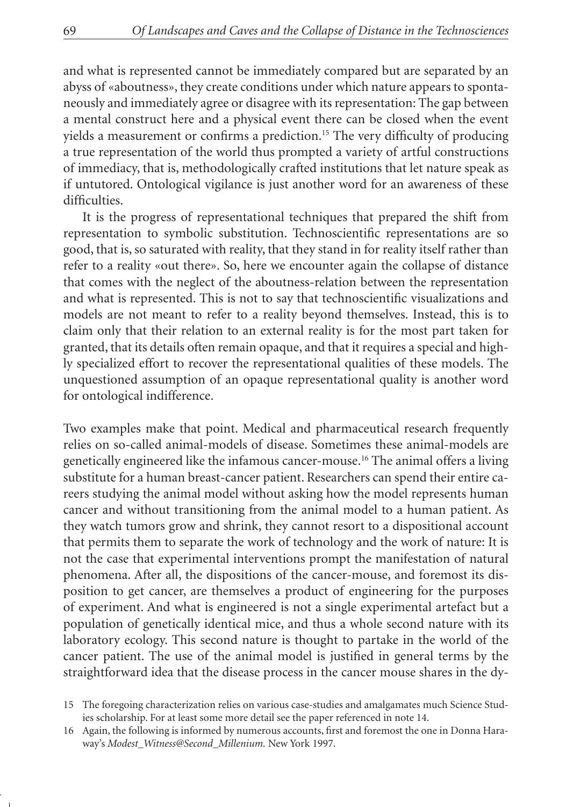and what is represented cannot be immediately compared but are separated by an abyss of «aboutness», they create conditions under which nature appears to spontaneously and immediately agree or disagree with its representation: The gap between a mental construct here and a physical event there can be closed when the event yields a measurement or confirms a prediction.15 The very difficulty of producing a true representation of the world thus prompted a variety of artful constructions of immediacy, that is, methodologically crafted institutions that let nature speak as if untutored. Ontological vigilance is just another word for an awareness of these difficulties.

It is the progress of representational techniques that prepared the shift from representation to symbolic substitution. Technoscientific representations are so good, that is, so saturated with reality, that they stand in for reality itself rather than refer to a reality «out there». So, here we encounter again the collapse of distance that comes with the neglect of the aboutness-relation between the representation and what is represented. This is not to say that technoscientific visualizations and models are not meant to refer to a reality beyond themselves. Instead, this is to claim only that their relation to an external reality is for the most part taken for granted, that its details often remain opaque, and that it requires a special and highly specialized effort to recover the representational qualities of these models. The unquestioned assumption of an opaque representational quality is another word for ontological indifference.

Two examples make that point. Medical and pharmaceutical research frequently relies on so-called animal-models of disease. Sometimes these animal-models are genetically engineered like the infamous cancer-mouse.16 The animal offers a living substitute for a human breast-cancer patient. Researchers can spend their entire careers studying the animal model without asking how the model represents human cancer and without transitioning from the animal model to a human patient. As they watch tumors grow and shrink, they cannot resort to a dispositional account that permits them to separate the work of technology and the work of nature: It is not the case that experimental interventions prompt the manifestation of natural phenomena. After all, the dispositions of the cancer-mouse, and foremost its disposition to get cancer, are themselves a product of engineering for the purposes of experiment. And what is engineered is not a single experimental artefact but a population of genetically identical mice, and thus a whole second nature with its laboratory ecology. This second nature is thought to partake in the world of the cancer patient. The use of the animal model is justified in general terms by the straightforward idea that the disease process in the cancer mouse shares in the dy-

<sup>15</sup> The foregoing characterization relies on various case-studies and amalgamates much Science Studies scholarship. For at least some more detail see the paper referenced in note 14.

<sup>16</sup> Again, the following is informed by numerous accounts, first and foremost the one in Donna Haraway's *Modest\_Witness@Second\_Millenium.* New York 1997.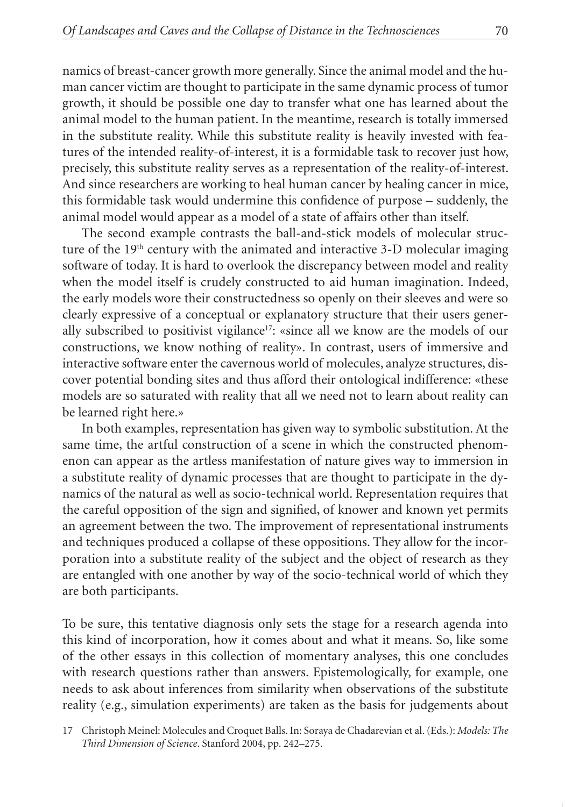namics of breast-cancer growth more generally. Since the animal model and the human cancer victim are thought to participate in the same dynamic process of tumor growth, it should be possible one day to transfer what one has learned about the animal model to the human patient. In the meantime, research is totally immersed in the substitute reality. While this substitute reality is heavily invested with features of the intended reality-of-interest, it is a formidable task to recover just how, precisely, this substitute reality serves as a representation of the reality-of-interest. And since researchers are working to heal human cancer by healing cancer in mice, this formidable task would undermine this confidence of purpose – suddenly, the animal model would appear as a model of a state of affairs other than itself.

The second example contrasts the ball-and-stick models of molecular structure of the 19<sup>th</sup> century with the animated and interactive 3-D molecular imaging software of today. It is hard to overlook the discrepancy between model and reality when the model itself is crudely constructed to aid human imagination. Indeed, the early models wore their constructedness so openly on their sleeves and were so clearly expressive of a conceptual or explanatory structure that their users generally subscribed to positivist vigilance<sup>17</sup>: «since all we know are the models of our constructions, we know nothing of reality». In contrast, users of immersive and interactive software enter the cavernous world of molecules, analyze structures, discover potential bonding sites and thus afford their ontological indifference: «these models are so saturated with reality that all we need not to learn about reality can be learned right here.»

In both examples, representation has given way to symbolic substitution. At the same time, the artful construction of a scene in which the constructed phenomenon can appear as the artless manifestation of nature gives way to immersion in a substitute reality of dynamic processes that are thought to participate in the dynamics of the natural as well as socio-technical world. Representation requires that the careful opposition of the sign and signified, of knower and known yet permits an agreement between the two. The improvement of representational instruments and techniques produced a collapse of these oppositions. They allow for the incorporation into a substitute reality of the subject and the object of research as they are entangled with one another by way of the socio-technical world of which they are both participants.

To be sure, this tentative diagnosis only sets the stage for a research agenda into this kind of incorporation, how it comes about and what it means. So, like some of the other essays in this collection of momentary analyses, this one concludes with research questions rather than answers. Epistemologically, for example, one needs to ask about inferences from similarity when observations of the substitute reality (e.g., simulation experiments) are taken as the basis for judgements about

<sup>17</sup> Christoph Meinel: Molecules and Croquet Balls. In: Soraya de Chadarevian et al. (Eds.): *Models: The Third Dimension of Science*. Stanford 2004, pp. 242–275.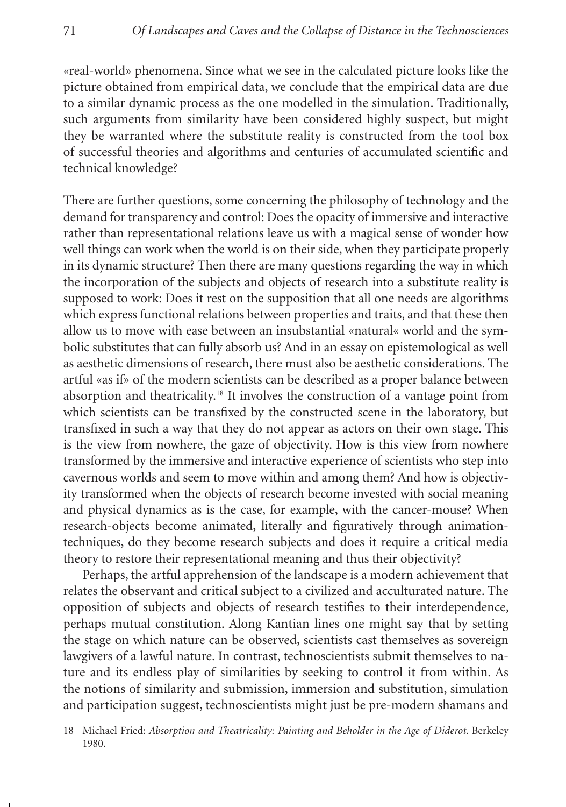«real-world» phenomena. Since what we see in the calculated picture looks like the picture obtained from empirical data, we conclude that the empirical data are due to a similar dynamic process as the one modelled in the simulation. Traditionally, such arguments from similarity have been considered highly suspect, but might they be warranted where the substitute reality is constructed from the tool box of successful theories and algorithms and centuries of accumulated scientific and technical knowledge?

There are further questions, some concerning the philosophy of technology and the demand for transparency and control: Does the opacity of immersive and interactive rather than representational relations leave us with a magical sense of wonder how well things can work when the world is on their side, when they participate properly in its dynamic structure? Then there are many questions regarding the way in which the incorporation of the subjects and objects of research into a substitute reality is supposed to work: Does it rest on the supposition that all one needs are algorithms which express functional relations between properties and traits, and that these then allow us to move with ease between an insubstantial «natural« world and the symbolic substitutes that can fully absorb us? And in an essay on epistemological as well as aesthetic dimensions of research, there must also be aesthetic considerations. The artful «as if» of the modern scientists can be described as a proper balance between absorption and theatricality.18 It involves the construction of a vantage point from which scientists can be transfixed by the constructed scene in the laboratory, but transfixed in such a way that they do not appear as actors on their own stage. This is the view from nowhere, the gaze of objectivity. How is this view from nowhere transformed by the immersive and interactive experience of scientists who step into cavernous worlds and seem to move within and among them? And how is objectivity transformed when the objects of research become invested with social meaning and physical dynamics as is the case, for example, with the cancer-mouse? When research-objects become animated, literally and figuratively through animationtechniques, do they become research subjects and does it require a critical media theory to restore their representational meaning and thus their objectivity?

Perhaps, the artful apprehension of the landscape is a modern achievement that relates the observant and critical subject to a civilized and acculturated nature. The opposition of subjects and objects of research testifies to their interdependence, perhaps mutual constitution. Along Kantian lines one might say that by setting the stage on which nature can be observed, scientists cast themselves as sovereign lawgivers of a lawful nature. In contrast, technoscientists submit themselves to nature and its endless play of similarities by seeking to control it from within. As the notions of similarity and submission, immersion and substitution, simulation and participation suggest, technoscientists might just be pre-modern shamans and

<sup>18</sup> Michael Fried: *Absorption and Theatricality: Painting and Beholder in the Age of Diderot*. Berkeley 1980.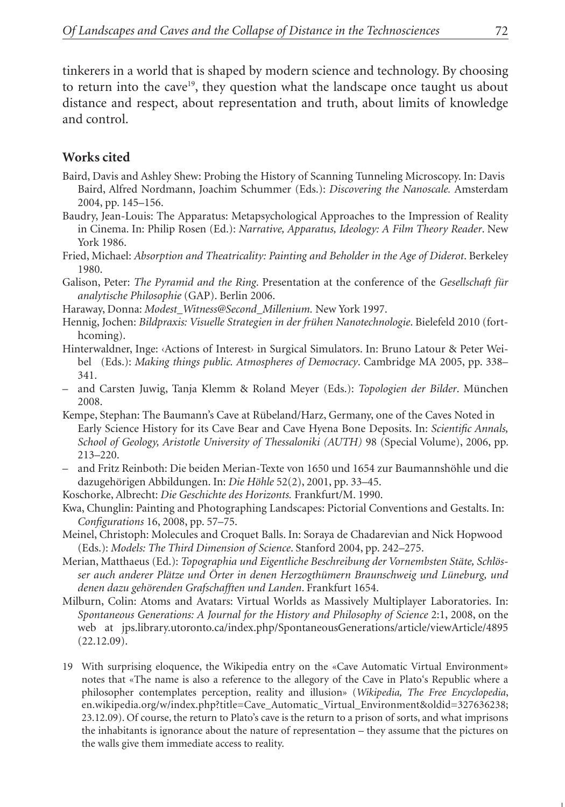tinkerers in a world that is shaped by modern science and technology. By choosing to return into the cave<sup>19</sup>, they question what the landscape once taught us about distance and respect, about representation and truth, about limits of knowledge and control.

## **Works cited**

- Baird, Davis and Ashley Shew: Probing the History of Scanning Tunneling Microscopy. In: Davis Baird, Alfred Nordmann, Joachim Schummer (Eds.): *Discovering the Nanoscale.* Amsterdam 2004, pp. 145–156.
- Baudry, Jean-Louis: The Apparatus: Metapsychological Approaches to the Impression of Reality in Cinema. In: Philip Rosen (Ed.): *Narrative, Apparatus, Ideology: A Film Theory Reader*. New York 1986.
- Fried, Michael: *Absorption and Theatricality: Painting and Beholder in the Age of Diderot*. Berkeley 1980.
- Galison, Peter: *The Pyramid and the Ring*. Presentation at the conference of the *Gesellschaft für analytische Philosophie* (GAP). Berlin 2006.
- Haraway, Donna: *Modest\_Witness@Second\_Millenium.* New York 1997.
- Hennig, Jochen: *Bildpraxis: Visuelle Strategien in der frühen Nanotechnologie*. Bielefeld 2010 (forthcoming).
- Hinterwaldner, Inge: «Actions of Interest» in Surgical Simulators. In: Bruno Latour & Peter Weibel (Eds.): *Making things public. Atmospheres of Democracy*. Cambridge MA 2005, pp. 338– 341.
- and Carsten Juwig, Tanja Klemm & Roland Meyer (Eds.): *Topologien der Bilder*. München 2008.
- Kempe, Stephan: The Baumann's Cave at Rübeland/Harz, Germany, one of the Caves Noted in Early Science History for its Cave Bear and Cave Hyena Bone Deposits. In: *Scientific Annals, School of Geology, Aristotle University of Thessaloniki (AUTH)* 98 (Special Volume), 2006, pp. 213–220.
- and Fritz Reinboth: Die beiden Merian-Texte von 1650 und 1654 zur Baumannshöhle und die dazugehörigen Abbildungen. In: *Die Höhle* 52(2), 2001, pp. 33–45.
- Koschorke, Albrecht: *Die Geschichte des Horizonts.* Frankfurt/M. 1990.
- Kwa, Chunglin: Painting and Photographing Landscapes: Pictorial Conventions and Gestalts. In: *Configurations* 16, 2008, pp. 57–75.
- Meinel, Christoph: Molecules and Croquet Balls. In: Soraya de Chadarevian and Nick Hopwood (Eds.): *Models: The Third Dimension of Science*. Stanford 2004, pp. 242–275.
- Merian, Matthaeus (Ed.): *Topographia und Eigentliche Beschreibung der Vornembsten Stäte, Schlösser auch anderer Plätze und Örter in denen Herzogthümern Braunschweig und Lüneburg, und denen dazu gehörenden Grafschafften und Landen*. Frankfurt 1654.
- Milburn, Colin: Atoms and Avatars: Virtual Worlds as Massively Multiplayer Laboratories. In: *Spontaneous Generations: A Journal for the History and Philosophy of Science* 2:1, 2008, on the web at jps.library.utoronto.ca/index.php/SpontaneousGenerations/article/viewArticle/4895 (22.12.09).
- 19 With surprising eloquence, the Wikipedia entry on the «Cave Automatic Virtual Environment» notes that «The name is also a reference to the allegory of the Cave in Plato's Republic where a philosopher contemplates perception, reality and illusion» (*Wikipedia, The Free Encyclopedia*, en.wikipedia.org/w/index.php?title=Cave\_Automatic\_Virtual\_Environment&oldid=327636238; 23.12.09). Of course, the return to Plato's cave is the return to a prison of sorts, and what imprisons the inhabitants is ignorance about the nature of representation – they assume that the pictures on the walls give them immediate access to reality.